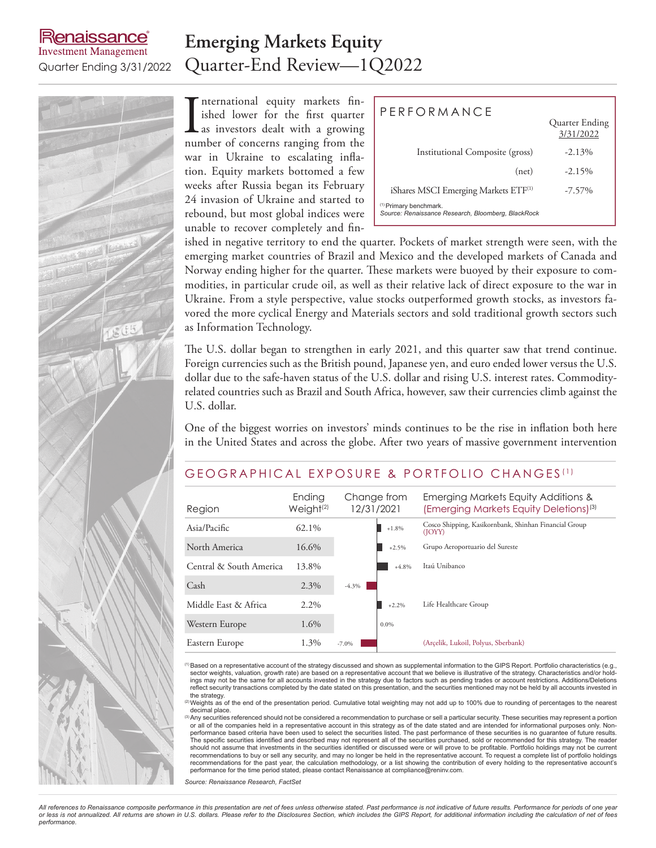# enaissance **Investment Management**

# **Emerging Markets Equity** Quarter Ending 3/31/2022 Quarter-End Review—1Q2022

International equity markets finished lower for the first quarter<br>as investors dealt with a growing<br>number of concerns ranging from the nternational equity markets finished lower for the first quarter as investors dealt with a growing war in Ukraine to escalating inflation. Equity markets bottomed a few weeks after Russia began its February 24 invasion of Ukraine and started to rebound, but most global indices were unable to recover completely and fin-

| PERFORMANCE                                                                             | Quarter Ending<br>3/31/2022 |
|-----------------------------------------------------------------------------------------|-----------------------------|
| Institutional Composite (gross)                                                         | $-2.13\%$                   |
| (net)                                                                                   | $-2.15%$                    |
| iShares MSCI Emerging Markets ETF <sup>(1)</sup>                                        | $-7.57\%$                   |
| <sup>(1)</sup> Primary benchmark.<br>Source: Renaissance Research, Bloomberg, BlackRock |                             |

ished in negative territory to end the quarter. Pockets of market strength were seen, with the emerging market countries of Brazil and Mexico and the developed markets of Canada and Norway ending higher for the quarter. These markets were buoyed by their exposure to commodities, in particular crude oil, as well as their relative lack of direct exposure to the war in Ukraine. From a style perspective, value stocks outperformed growth stocks, as investors favored the more cyclical Energy and Materials sectors and sold traditional growth sectors such as Information Technology.

The U.S. dollar began to strengthen in early 2021, and this quarter saw that trend continue. Foreign currencies such as the British pound, Japanese yen, and euro ended lower versus the U.S. dollar due to the safe-haven status of the U.S. dollar and rising U.S. interest rates. Commodityrelated countries such as Brazil and South Africa, however, saw their currencies climb against the U.S. dollar.

One of the biggest worries on investors' minds continues to be the rise in inflation both here in the United States and across the globe. After two years of massive government intervention

# GEOGRAPHICAL EXPOSURE & PORTFOLIO CHANGES (1)

| Region                  | Ending<br>Weight <sup>(2)</sup> | Change from<br>12/31/2021 |         | Emerging Markets Equity Additions &<br>(Emerging Markets Equity Deletions) <sup>(3)</sup> |  |  |  |  |
|-------------------------|---------------------------------|---------------------------|---------|-------------------------------------------------------------------------------------------|--|--|--|--|
| Asia/Pacific            | 62.1%                           |                           | $+1.8%$ | Cosco Shipping, Kasikornbank, Shinhan Financial Group<br>(JOYY)                           |  |  |  |  |
| North America           | 16.6%                           |                           | $+2.5%$ | Grupo Aeroportuario del Sureste                                                           |  |  |  |  |
| Central & South America | 13.8%                           |                           | $+4.8%$ | Itaú Unibanco                                                                             |  |  |  |  |
| Cash                    | 2.3%                            | $-4.3\%$                  |         |                                                                                           |  |  |  |  |
| Middle East & Africa    | $2.2\%$                         |                           | $+2.2%$ | Life Healthcare Group                                                                     |  |  |  |  |
| Western Europe          | 1.6%                            |                           | $0.0\%$ |                                                                                           |  |  |  |  |
| Eastern Europe          | 1.3%                            | $-7.0%$                   |         | (Arcelik, Lukoil, Polyus, Sberbank)                                                       |  |  |  |  |

(1)Based on a representative account of the strategy discussed and shown as supplemental information to the GIPS Report. Portfolio characteristics (e.g., sector weights, valuation, growth rate) are based on a representative account that we believe is illustrative of the strategy. Characteristics and/or holdings may not be the same for all accounts invested in the strategy due to factors such as pending trades or account restrictions. Additions/Deletions<br>reflect security transactions completed by the date stated on this prese

the strategy.<br><sup>(2)</sup>Weights as of the end of the presentation period. Cumulative total weighting may not add up to 100% due to rounding of percentages to the nearest decimal place.

Any securities referenced should not be considered a recommendation to purchase or sell a particular security. These securities may represent a portion or all of the companies held in a representative account in this strategy as of the date stated and are intended for informational purposes only. Non-<br>performance based criteria have been used to select the securities list .<br>The specific securities identified and described may not represent all of the securities purchased, sold or recommended for this strategy. The reader should not assume that investments in the securities identified or discussed were or will prove to be profitable. Portfolio holdings may not be current<br>recommendations to buy or sell any security, and may no longer be held recommendations for the past year, the calculation methodology, or a list showing the contribution of every holding to the representative account's performance for the time period stated, please contact Renaissance at compliance@reninv.com.

*Source: Renaissance Research, FactSet*

*All references to Renaissance composite performance in this presentation are net of fees unless otherwise stated. Past performance is not indicative of future results. Performance for periods of one year or less is not annualized. All returns are shown in U.S. dollars. Please refer to the Disclosures Section, which includes the GIPS Report, for additional information including the calculation of net of fees performance.*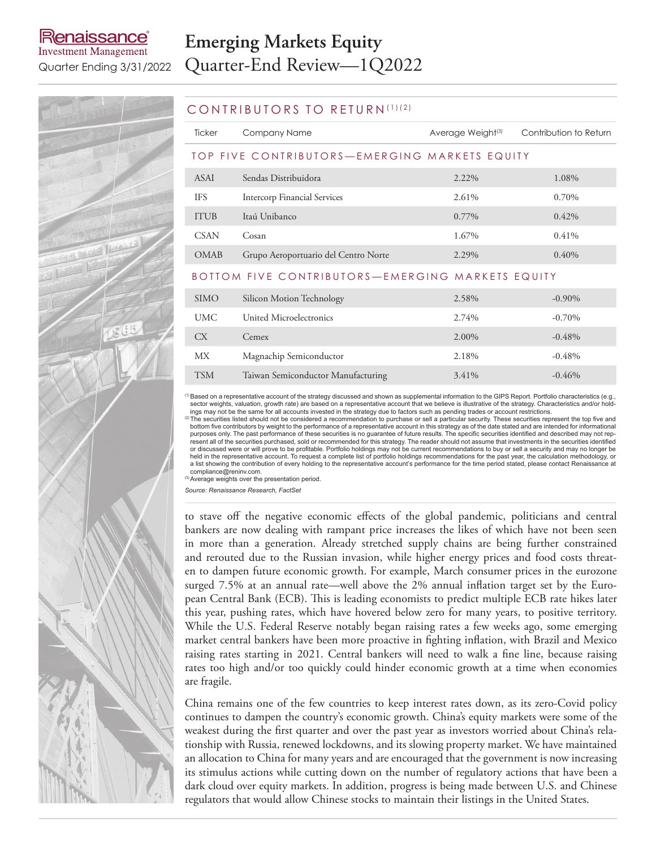# lenaissance **Investment Management**

# **Emerging Markets Equity** Quarter Ending 3/31/2022 Quarter-End Review—1Q2022

# TSM Taiwan Semiconductor Manufacturing 3.41% -0.46%

### CONTRIBUTORS TO RETURN (1)(2)

| Ticker                                           | Company Name                         | Average Weight <sup>(3)</sup> | Contribution to Return |  |  |  |  |
|--------------------------------------------------|--------------------------------------|-------------------------------|------------------------|--|--|--|--|
| TOP FIVE CONTRIBUTORS-EMERGING MARKETS EQUITY    |                                      |                               |                        |  |  |  |  |
| ASAI                                             | Sendas Distribuidora                 | 2.22%                         | 1.08%                  |  |  |  |  |
| <b>IFS</b>                                       | Intercorp Financial Services         | 2.61%                         | 0.70%                  |  |  |  |  |
| <b>ITUB</b>                                      | Itaú Unibanco                        | $0.77\%$                      | $0.42\%$               |  |  |  |  |
| <b>CSAN</b>                                      | Cosan                                | 1.67%                         | 0.41%                  |  |  |  |  |
| <b>OMAB</b>                                      | Grupo Aeroportuario del Centro Norte | 2.29%                         | $0.40\%$               |  |  |  |  |
| BOTTOM FIVE CONTRIBUTORS-EMERGING MARKETS EQUITY |                                      |                               |                        |  |  |  |  |
| <b>SIMO</b>                                      | Silicon Motion Technology            | 2.58%                         | $-0.90\%$              |  |  |  |  |
| <b>UMC</b>                                       | United Microelectronics              | 2.74%                         | $-0.70%$               |  |  |  |  |
| CX                                               | Cemex                                | 2.00%                         | $-0.48%$               |  |  |  |  |
| МX                                               | Magnachip Semiconductor              | 2.18%                         | $-0.48%$               |  |  |  |  |

<sup>(1)</sup>Based on a representative account of the strategy discussed and shown as supplemental information to the GIPS Report. Portfolio characteristics (e.g., sector weights, valuation, growth rate) are based on a representat

bottom five contributors by weight to the performance of a representative account in this strategy as of the date stated and are intended for informational purposes only. The past performance of these securities is no guarantee of future results. The specific securities identified and described may not represent all of the securities purchased, sold or recommended for this strategy. The reader should not assume that investments in the securities identified<br>or discussed were or will prove to be profitable. Portfolio holdings held in the representative account. To request a complete list of portfolio holdings recommendations for the past year, the calculation methodology, or a list showing the contribution of every holding to the representative account's performance for the time period stated, please contact Renaissance at compliance@reninv.com.

(3)Average weights over the presentation period.

*Source: Renaissance Research, FactSet*

to stave off the negative economic effects of the global pandemic, politicians and central bankers are now dealing with rampant price increases the likes of which have not been seen in more than a generation. Already stretched supply chains are being further constrained and rerouted due to the Russian invasion, while higher energy prices and food costs threaten to dampen future economic growth. For example, March consumer prices in the eurozone surged 7.5% at an annual rate—well above the 2% annual inflation target set by the European Central Bank (ECB). This is leading economists to predict multiple ECB rate hikes later this year, pushing rates, which have hovered below zero for many years, to positive territory. While the U.S. Federal Reserve notably began raising rates a few weeks ago, some emerging market central bankers have been more proactive in fighting inflation, with Brazil and Mexico raising rates starting in 2021. Central bankers will need to walk a fine line, because raising rates too high and/or too quickly could hinder economic growth at a time when economies are fragile.

China remains one of the few countries to keep interest rates down, as its zero-Covid policy continues to dampen the country's economic growth. China's equity markets were some of the weakest during the first quarter and over the past year as investors worried about China's relationship with Russia, renewed lockdowns, and its slowing property market. We have maintained an allocation to China for many years and are encouraged that the government is now increasing its stimulus actions while cutting down on the number of regulatory actions that have been a dark cloud over equity markets. In addition, progress is being made between U.S. and Chinese regulators that would allow Chinese stocks to maintain their listings in the United States.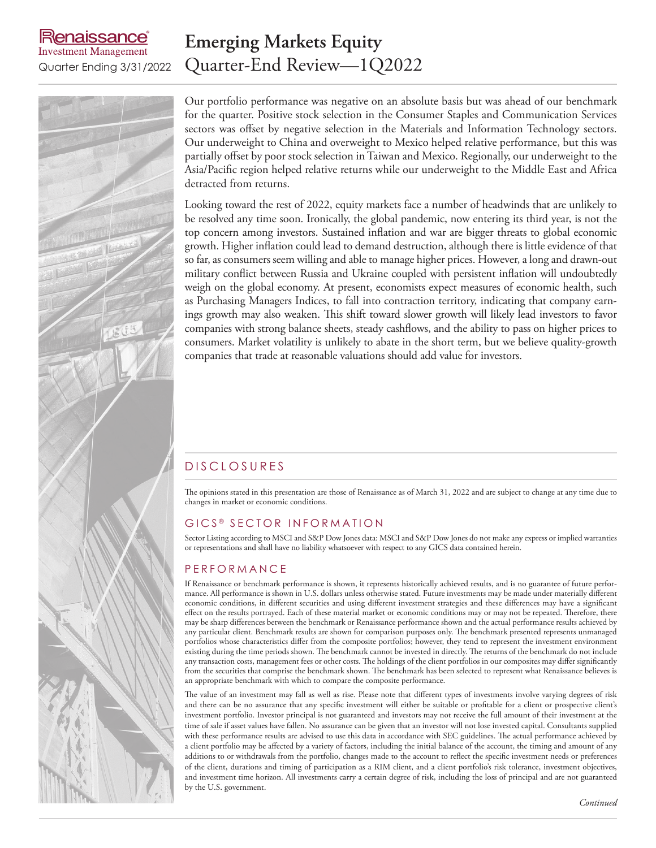# enaissance **Investment Management**

# **Emerging Markets Equity** Quarter Ending 3/31/2022 Quarter-End Review—1Q2022

Our portfolio performance was negative on an absolute basis but was ahead of our benchmark for the quarter. Positive stock selection in the Consumer Staples and Communication Services sectors was offset by negative selection in the Materials and Information Technology sectors. Our underweight to China and overweight to Mexico helped relative performance, but this was partially offset by poor stock selection in Taiwan and Mexico. Regionally, our underweight to the Asia/Pacific region helped relative returns while our underweight to the Middle East and Africa detracted from returns.

Looking toward the rest of 2022, equity markets face a number of headwinds that are unlikely to be resolved any time soon. Ironically, the global pandemic, now entering its third year, is not the top concern among investors. Sustained inflation and war are bigger threats to global economic growth. Higher inflation could lead to demand destruction, although there is little evidence of that so far, as consumers seem willing and able to manage higher prices. However, a long and drawn-out military conflict between Russia and Ukraine coupled with persistent inflation will undoubtedly weigh on the global economy. At present, economists expect measures of economic health, such as Purchasing Managers Indices, to fall into contraction territory, indicating that company earnings growth may also weaken. This shift toward slower growth will likely lead investors to favor companies with strong balance sheets, steady cashflows, and the ability to pass on higher prices to consumers. Market volatility is unlikely to abate in the short term, but we believe quality-growth companies that trade at reasonable valuations should add value for investors.

# D ISCLOSURES

The opinions stated in this presentation are those of Renaissance as of March 31, 2022 and are subject to change at any time due to changes in market or economic conditions.

### GICS<sup>®</sup> SECTOR INFORMATION

Sector Listing according to MSCI and S&P Dow Jones data: MSCI and S&P Dow Jones do not make any express or implied warranties or representations and shall have no liability whatsoever with respect to any GICS data contained herein.

# **PERFORMANCE**

If Renaissance or benchmark performance is shown, it represents historically achieved results, and is no guarantee of future performance. All performance is shown in U.S. dollars unless otherwise stated. Future investments may be made under materially different economic conditions, in different securities and using different investment strategies and these differences may have a significant effect on the results portrayed. Each of these material market or economic conditions may or may not be repeated. Therefore, there may be sharp differences between the benchmark or Renaissance performance shown and the actual performance results achieved by any particular client. Benchmark results are shown for comparison purposes only. The benchmark presented represents unmanaged portfolios whose characteristics differ from the composite portfolios; however, they tend to represent the investment environment existing during the time periods shown. The benchmark cannot be invested in directly. The returns of the benchmark do not include any transaction costs, management fees or other costs. The holdings of the client portfolios in our composites may differ significantly from the securities that comprise the benchmark shown. The benchmark has been selected to represent what Renaissance believes is an appropriate benchmark with which to compare the composite performance.

The value of an investment may fall as well as rise. Please note that different types of investments involve varying degrees of risk and there can be no assurance that any specific investment will either be suitable or profitable for a client or prospective client's investment portfolio. Investor principal is not guaranteed and investors may not receive the full amount of their investment at the time of sale if asset values have fallen. No assurance can be given that an investor will not lose invested capital. Consultants supplied with these performance results are advised to use this data in accordance with SEC guidelines. The actual performance achieved by a client portfolio may be affected by a variety of factors, including the initial balance of the account, the timing and amount of any additions to or withdrawals from the portfolio, changes made to the account to reflect the specific investment needs or preferences of the client, durations and timing of participation as a RIM client, and a client portfolio's risk tolerance, investment objectives, and investment time horizon. All investments carry a certain degree of risk, including the loss of principal and are not guaranteed by the U.S. government.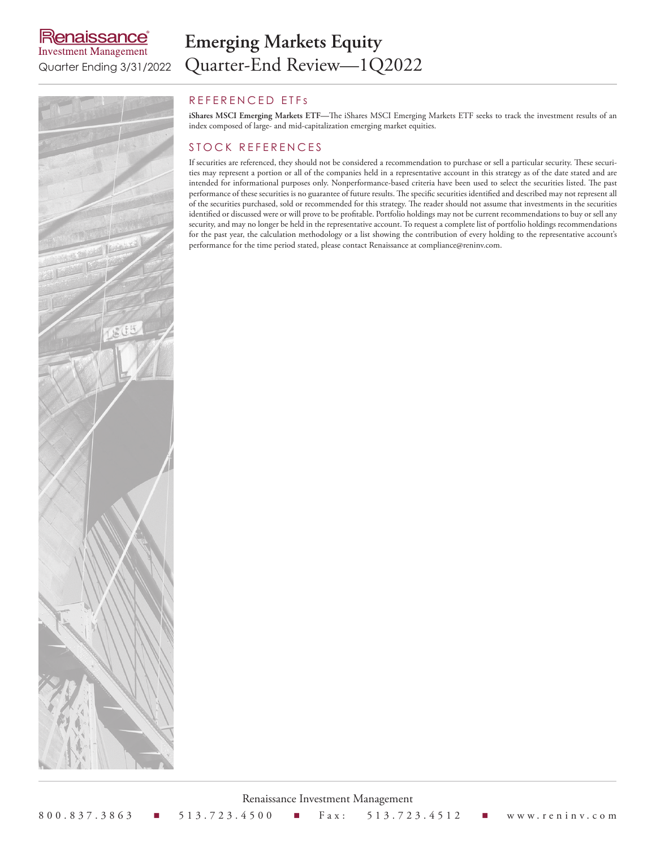# **Renaissance**® **Investment Management**

# **Emerging Markets Equity** Quarter Ending 3/31/2022 Quarter-End Review-1Q2022



## REFERENCED ETFS

**iShares MSCI Emerging Markets ETF—**The iShares MSCI Emerging Markets ETF seeks to track the investment results of an index composed of large- and mid-capitalization emerging market equities.

### STOCK REFERENCES

If securities are referenced, they should not be considered a recommendation to purchase or sell a particular security. These securities may represent a portion or all of the companies held in a representative account in this strategy as of the date stated and are intended for informational purposes only. Nonperformance-based criteria have been used to select the securities listed. The past performance of these securities is no guarantee of future results. The specific securities identified and described may not represent all of the securities purchased, sold or recommended for this strategy. The reader should not assume that investments in the securities identified or discussed were or will prove to be profitable. Portfolio holdings may not be current recommendations to buy or sell any security, and may no longer be held in the representative account. To request a complete list of portfolio holdings recommendations for the past year, the calculation methodology or a list showing the contribution of every holding to the representative account's performance for the time period stated, please contact Renaissance at compliance@reninv.com.